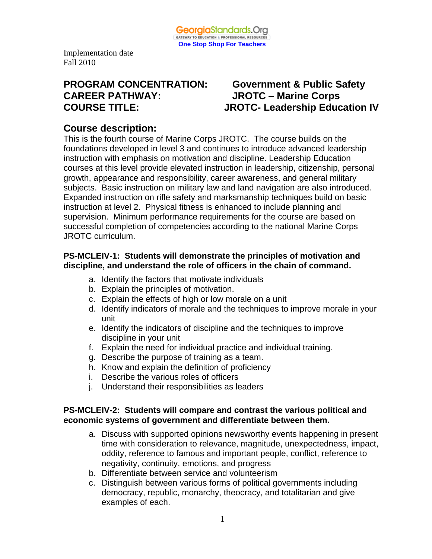

# **PROGRAM CONCENTRATION: Government & Public Safety CAREER PATHWAY: JROTC – Marine Corps**

# **COURSE TITLE: JROTC- Leadership Education IV**

## **Course description:**

This is the fourth course of Marine Corps JROTC. The course builds on the foundations developed in level 3 and continues to introduce advanced leadership instruction with emphasis on motivation and discipline. Leadership Education courses at this level provide elevated instruction in leadership, citizenship, personal growth, appearance and responsibility, career awareness, and general military subjects. Basic instruction on military law and land navigation are also introduced. Expanded instruction on rifle safety and marksmanship techniques build on basic instruction at level 2. Physical fitness is enhanced to include planning and supervision. Minimum performance requirements for the course are based on successful completion of competencies according to the national Marine Corps JROTC curriculum.

#### **PS-MCLEIV-1: Students will demonstrate the principles of motivation and discipline, and understand the role of officers in the chain of command.**

- a. Identify the factors that motivate individuals
- b. Explain the principles of motivation.
- c. Explain the effects of high or low morale on a unit
- d. Identify indicators of morale and the techniques to improve morale in your unit
- e. Identify the indicators of discipline and the techniques to improve discipline in your unit
- f. Explain the need for individual practice and individual training.
- g. Describe the purpose of training as a team.
- h. Know and explain the definition of proficiency
- i. Describe the various roles of officers
- j. Understand their responsibilities as leaders

#### **PS-MCLEIV-2: Students will compare and contrast the various political and economic systems of government and differentiate between them.**

- a. Discuss with supported opinions newsworthy events happening in present time with consideration to relevance, magnitude, unexpectedness, impact, oddity, reference to famous and important people, conflict, reference to negativity, continuity, emotions, and progress
- b. Differentiate between service and volunteerism
- c. Distinguish between various forms of political governments including democracy, republic, monarchy, theocracy, and totalitarian and give examples of each.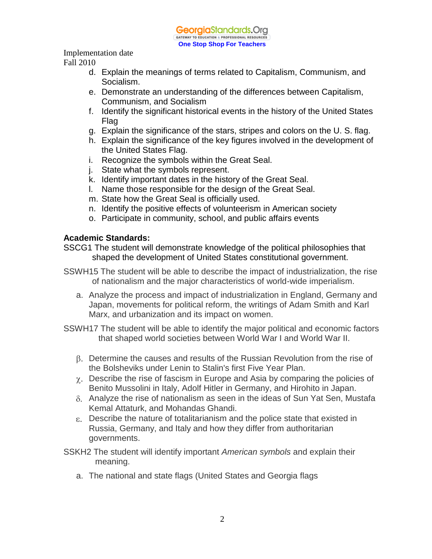

Implementation date

Fall 2010

- d. Explain the meanings of terms related to Capitalism, Communism, and Socialism.
- e. Demonstrate an understanding of the differences between Capitalism, Communism, and Socialism
- f. Identify the significant historical events in the history of the United States Flag
- g. Explain the significance of the stars, stripes and colors on the U. S. flag.
- h. Explain the significance of the key figures involved in the development of the United States Flag.
- i. Recognize the symbols within the Great Seal.
- j. State what the symbols represent.
- k. Identify important dates in the history of the Great Seal.
- l. Name those responsible for the design of the Great Seal.
- m. State how the Great Seal is officially used.
- n. Identify the positive effects of volunteerism in American society
- o. Participate in community, school, and public affairs events

#### **Academic Standards:**

SSCG1 The student will demonstrate knowledge of the political philosophies that shaped the development of United States constitutional government.

- SSWH15 The student will be able to describe the impact of industrialization, the rise of nationalism and the major characteristics of world-wide imperialism.
	- a. Analyze the process and impact of industrialization in England, Germany and Japan, movements for political reform, the writings of Adam Smith and Karl Marx, and urbanization and its impact on women.
- SSWH17 The student will be able to identify the major political and economic factors that shaped world societies between World War I and World War II.
	- Determine the causes and results of the Russian Revolution from the rise of the Bolsheviks under Lenin to Stalin's first Five Year Plan.
	- $\gamma$ . Describe the rise of fascism in Europe and Asia by comparing the policies of Benito Mussolini in Italy, Adolf Hitler in Germany, and Hirohito in Japan.
	- $\delta$ . Analyze the rise of nationalism as seen in the ideas of Sun Yat Sen, Mustafa Kemal Attaturk, and Mohandas Ghandi.
	- Describe the nature of totalitarianism and the police state that existed in Russia, Germany, and Italy and how they differ from authoritarian governments.
- SSKH2 The student will identify important *American symbols* and explain their meaning.
	- a. The national and state flags (United States and Georgia flags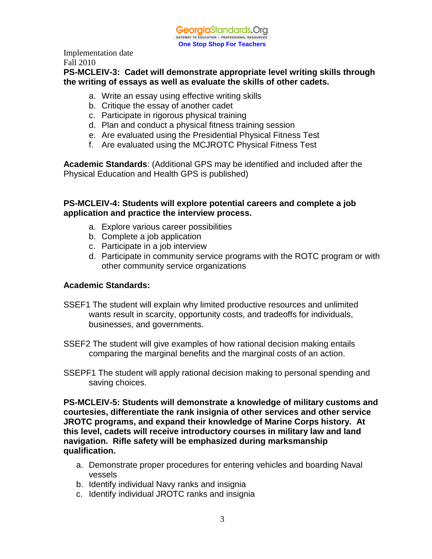

#### **PS-MCLEIV-3: Cadet will demonstrate appropriate level writing skills through the writing of essays as well as evaluate the skills of other cadets.**

- a. Write an essay using effective writing skills
- b. Critique the essay of another cadet
- c. Participate in rigorous physical training
- d. Plan and conduct a physical fitness training session
- e. Are evaluated using the Presidential Physical Fitness Test
- f. Are evaluated using the MCJROTC Physical Fitness Test

**Academic Standards**: (Additional GPS may be identified and included after the Physical Education and Health GPS is published)

#### **PS-MCLEIV-4: Students will explore potential careers and complete a job application and practice the interview process.**

- a. Explore various career possibilities
- b. Complete a job application
- c. Participate in a job interview
- d. Participate in community service programs with the ROTC program or with other community service organizations

#### **Academic Standards:**

- SSEF1 The student will explain why limited productive resources and unlimited wants result in scarcity, opportunity costs, and tradeoffs for individuals, businesses, and governments.
- SSEF2 The student will give examples of how rational decision making entails comparing the marginal benefits and the marginal costs of an action.
- SSEPF1 The student will apply rational decision making to personal spending and saving choices.

**PS-MCLEIV-5: Students will demonstrate a knowledge of military customs and courtesies, differentiate the rank insignia of other services and other service JROTC programs, and expand their knowledge of Marine Corps history. At this level, cadets will receive introductory courses in military law and land navigation. Rifle safety will be emphasized during marksmanship qualification.**

- a. Demonstrate proper procedures for entering vehicles and boarding Naval vessels
- b. Identify individual Navy ranks and insignia
- c. Identify individual JROTC ranks and insignia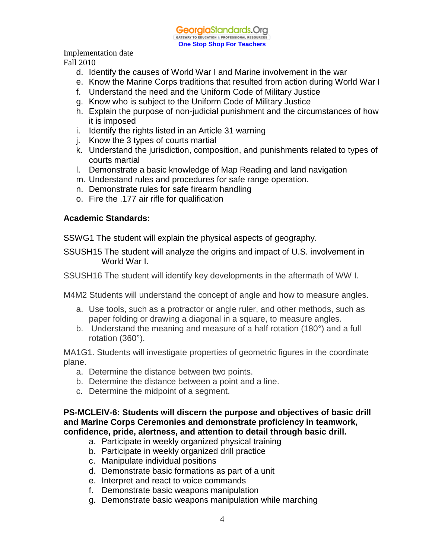

Implementation date

Fall 2010

- d. Identify the causes of World War I and Marine involvement in the war
- e. Know the Marine Corps traditions that resulted from action during World War I
- f. Understand the need and the Uniform Code of Military Justice
- g. Know who is subject to the Uniform Code of Military Justice
- h. Explain the purpose of non-judicial punishment and the circumstances of how it is imposed
- i. Identify the rights listed in an Article 31 warning
- j. Know the 3 types of courts martial
- k. Understand the jurisdiction, composition, and punishments related to types of courts martial
- l. Demonstrate a basic knowledge of Map Reading and land navigation
- m. Understand rules and procedures for safe range operation.
- n. Demonstrate rules for safe firearm handling
- o. Fire the .177 air rifle for qualification

#### **Academic Standards:**

SSWG1 The student will explain the physical aspects of geography.

SSUSH15 The student will analyze the origins and impact of U.S. involvement in World War I.

SSUSH16 The student will identify key developments in the aftermath of WW I.

M4M2 Students will understand the concept of angle and how to measure angles.

- a. Use tools, such as a protractor or angle ruler, and other methods, such as paper folding or drawing a diagonal in a square, to measure angles.
- b. Understand the meaning and measure of a half rotation (180°) and a full rotation (360°).

MA1G1. Students will investigate properties of geometric figures in the coordinate plane.

- a. Determine the distance between two points.
- b. Determine the distance between a point and a line.
- c. Determine the midpoint of a segment.

**PS-MCLEIV-6: Students will discern the purpose and objectives of basic drill and Marine Corps Ceremonies and demonstrate proficiency in teamwork, confidence, pride, alertness, and attention to detail through basic drill.**

- a. Participate in weekly organized physical training
- b. Participate in weekly organized drill practice
- c. Manipulate individual positions
- d. Demonstrate basic formations as part of a unit
- e. Interpret and react to voice commands
- f. Demonstrate basic weapons manipulation
- g. Demonstrate basic weapons manipulation while marching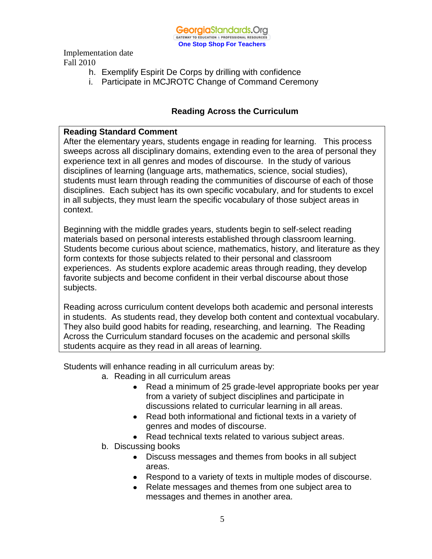

- h. Exemplify Espirit De Corps by drilling with confidence
- i. Participate in MCJROTC Change of Command Ceremony

#### **Reading Across the Curriculum**

#### **Reading Standard Comment**

After the elementary years, students engage in reading for learning. This process sweeps across all disciplinary domains, extending even to the area of personal they experience text in all genres and modes of discourse. In the study of various disciplines of learning (language arts, mathematics, science, social studies), students must learn through reading the communities of discourse of each of those disciplines. Each subject has its own specific vocabulary, and for students to excel in all subjects, they must learn the specific vocabulary of those subject areas in context.

Beginning with the middle grades years, students begin to self-select reading materials based on personal interests established through classroom learning. Students become curious about science, mathematics, history, and literature as they form contexts for those subjects related to their personal and classroom experiences. As students explore academic areas through reading, they develop favorite subjects and become confident in their verbal discourse about those subjects.

Reading across curriculum content develops both academic and personal interests in students. As students read, they develop both content and contextual vocabulary. They also build good habits for reading, researching, and learning. The Reading Across the Curriculum standard focuses on the academic and personal skills students acquire as they read in all areas of learning.

Students will enhance reading in all curriculum areas by:

- a. Reading in all curriculum areas
	- Read a minimum of 25 grade-level appropriate books per year from a variety of subject disciplines and participate in discussions related to curricular learning in all areas.
	- Read both informational and fictional texts in a variety of genres and modes of discourse.
	- Read technical texts related to various subject areas.
- b. Discussing books
	- Discuss messages and themes from books in all subject areas.
	- Respond to a variety of texts in multiple modes of discourse.
	- Relate messages and themes from one subject area to messages and themes in another area.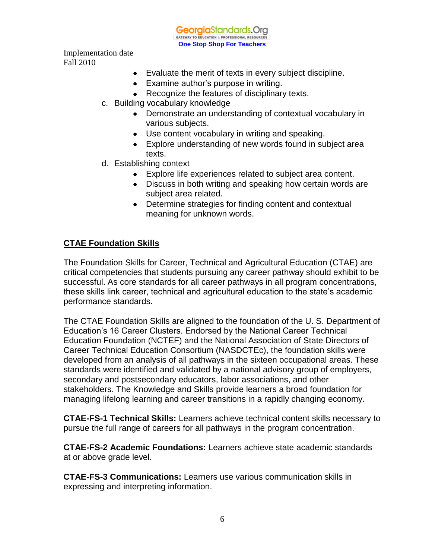GeorgiaStandards.Org GATEWAY TO EDUCATION & PROFESSIONAL RESOURC

**One Stop Shop For Teachers**

Implementation date Fall 2010

- Evaluate the merit of texts in every subject discipline.
- Examine author's purpose in writing.
- Recognize the features of disciplinary texts.
- c. Building vocabulary knowledge
	- Demonstrate an understanding of contextual vocabulary in various subjects.
	- Use content vocabulary in writing and speaking.
	- Explore understanding of new words found in subject area texts.
- d. Establishing context
	- Explore life experiences related to subject area content.
	- Discuss in both writing and speaking how certain words are subject area related.
	- Determine strategies for finding content and contextual meaning for unknown words.

#### **CTAE Foundation Skills**

The Foundation Skills for Career, Technical and Agricultural Education (CTAE) are critical competencies that students pursuing any career pathway should exhibit to be successful. As core standards for all career pathways in all program concentrations, these skills link career, technical and agricultural education to the state's academic performance standards.

The CTAE Foundation Skills are aligned to the foundation of the U. S. Department of Education's 16 Career Clusters. Endorsed by the National Career Technical Education Foundation (NCTEF) and the National Association of State Directors of Career Technical Education Consortium (NASDCTEc), the foundation skills were developed from an analysis of all pathways in the sixteen occupational areas. These standards were identified and validated by a national advisory group of employers, secondary and postsecondary educators, labor associations, and other stakeholders. The Knowledge and Skills provide learners a broad foundation for managing lifelong learning and career transitions in a rapidly changing economy.

**CTAE-FS-1 Technical Skills:** Learners achieve technical content skills necessary to pursue the full range of careers for all pathways in the program concentration.

**CTAE-FS-2 Academic Foundations:** Learners achieve state academic standards at or above grade level.

**CTAE-FS-3 Communications:** Learners use various communication skills in expressing and interpreting information.